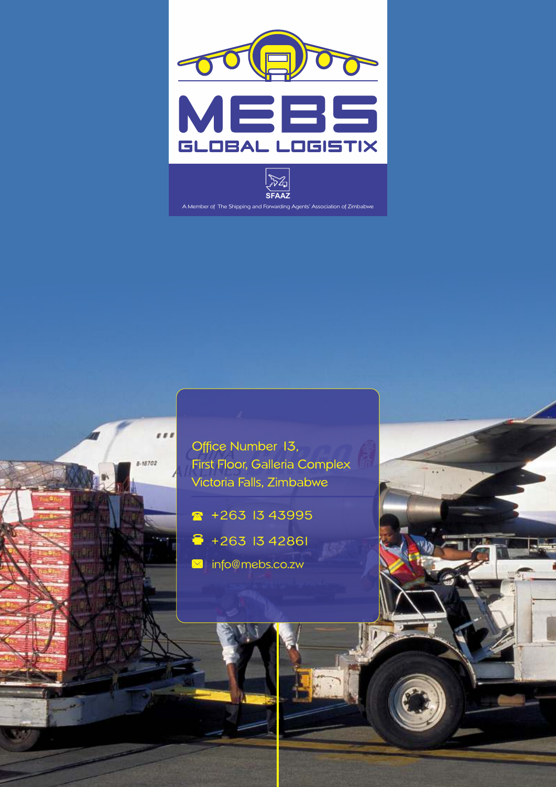





 $\bullet$  +263 1343995

 $888$ 

 $8 - 18702$ 

- $\hat{•}$  +263 1342861
- **X** info@mebs.co.zw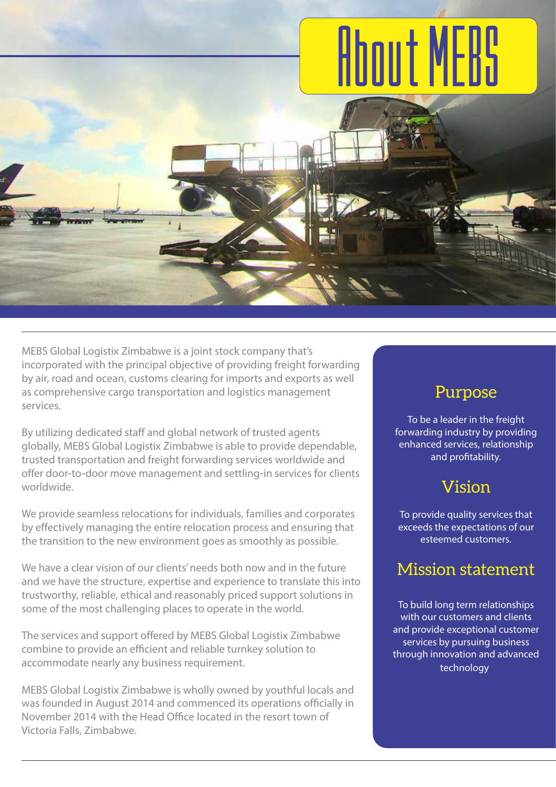# **About MEBS**

MEBS Global Logistix Zimbabwe is a joint stock company that's incorporated with the principal objective of providing freight forwarding by air, road and ocean, customs clearing for imports and exports as well as comprehensive cargo transportation and logistics management services.

By utilizing dedicated staff and global network of trusted agents globally, MEBS Global Logistix Zimbabwe is able to provide dependable, trusted transportation and freight forwarding services worldwide and offer door-to-door move management and settling-in services for clients worldwide.

We provide seamless relocations for individuals, families and corporates by effectively managing the entire relocation process and ensuring that the transition to the new environment goes as smoothly as possible.

We have a clear vision of our clients' needs both now and in the future and we have the structure, expertise and experience to translate this into trustworthy, reliable, ethical and reasonably priced support solutions in some of the most challenging places to operate in the world.

The services and support offered by MEBS Global Logistix Zimbabwe combine to provide an efficient and reliable turnkey solution to accommodate nearly any business requirement.

MEBS Global Logistix Zimbabwe is wholly owned by youthful locals and was founded in August 2014 and commenced its operations officially in November 2014 with the Head Office located in the resort town of Victoria Falls, Zimbabwe.

#### Purpose

To be a leader in the freight forwarding industry by providing enhanced services, relationship and profitability.

### Vision

To provide quality services that exceeds the expectations of our esteemed customers.

### Mission statement

To build long term relationships with our customers and clients and provide exceptional customer services by pursuing business through innovation and advanced technology.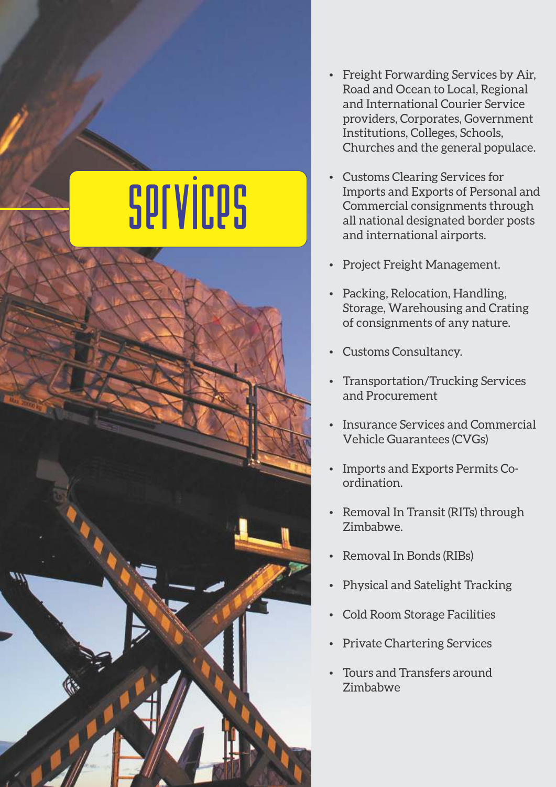## services

- Freight Forwarding Services by Air, Road and Ocean to Local, Regional and International Courier Service providers, Corporates, Government Institutions, Colleges, Schools, Churches and the general populace.
- Customs Clearing Services for Imports and Exports of Personal and Commercial consignments through all national designated border posts and international airports.
- Project Freight Management.
- Packing, Relocation, Handling, Storage, Warehousing and Crating of consignments of any nature.
- Customs Consultancy.
- Transportation/Trucking Services and Procurement
- Insurance Services and Commercial Vehicle Guarantees (CVGs)
- Imports and Exports Permits Coordination.
- Removal In Transit (RITs) through Zimbabwe.
- Removal In Bonds (RIBs)
- Physical and Satelight Tracking
- Cold Room Storage Facilities
- **Private Chartering Services**
- Tours and Transfers around Zimbabwe